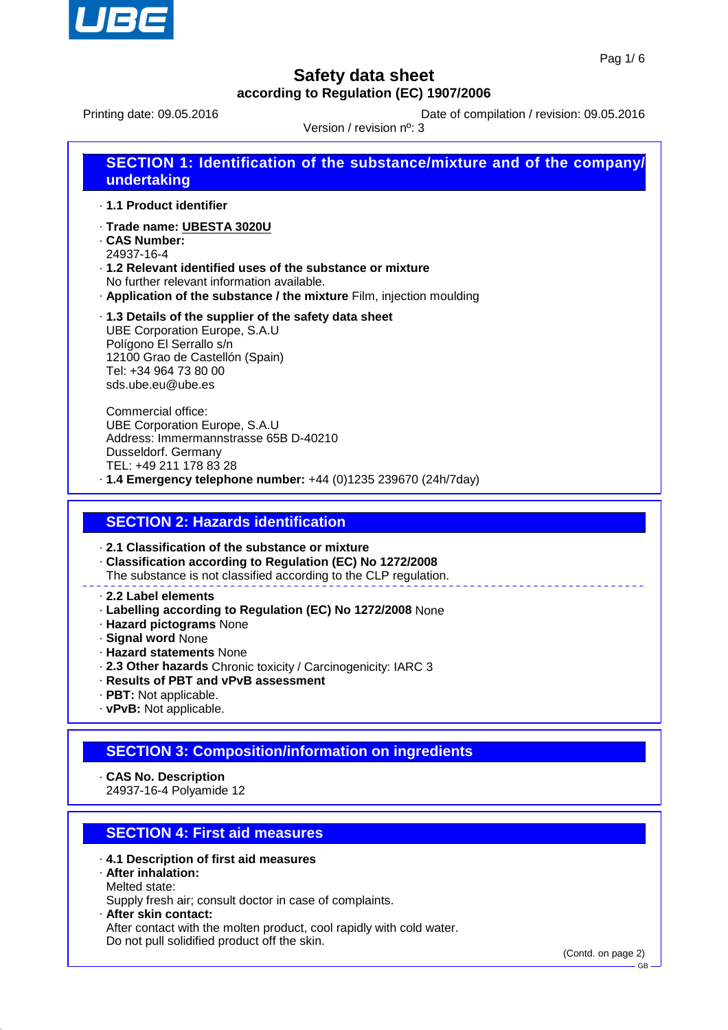

Printing date: 09.05.2016 **Date of compilation / revision: 09.05.2016** 

Version / revision nº: 3

| undertaking              | SECTION 1: Identification of the substance/mixture and of the company/ |
|--------------------------|------------------------------------------------------------------------|
| ⋅ 1.1 Product identifier |                                                                        |

- · **Trade name: UBESTA 3020U**
- · **CAS Number:**
- 24937-16-4
- · **1.2 Relevant identified uses of the substance or mixture** No further relevant information available.
- · **Application of the substance / the mixture** Film, injection moulding
- · **1.3 Details of the supplier of the safety data sheet** UBE Corporation Europe, S.A.U Polígono El Serrallo s/n 12100 Grao de Castellón (Spain) Tel: +34 964 73 80 00 sds.ube.eu@ube.es

Commercial office: UBE Corporation Europe, S.A.U Address: Immermannstrasse 65B D-40210 Dusseldorf. Germany TEL: +49 211 178 83 28 · **1.4 Emergency telephone number:** +44 (0)1235 239670 (24h/7day)

# **SECTION 2: Hazards identification**

· **2.1 Classification of the substance or mixture**

- · **Classification according to Regulation (EC) No 1272/2008**
- The substance is not classified according to the CLP regulation.

#### · **2.2 Label elements**

- · **Labelling according to Regulation (EC) No 1272/2008** None
- · **Hazard pictograms** None
- · **Signal word** None
- · **Hazard statements** None
- · **2.3 Other hazards** Chronic toxicity / Carcinogenicity: IARC 3
- · **Results of PBT and vPvB assessment**
- · **PBT:** Not applicable.
- · **vPvB:** Not applicable.

# **SECTION 3: Composition/information on ingredients**

· **CAS No. Description**

24937-16-4 Polyamide 12

# **SECTION 4: First aid measures**

- · **4.1 Description of first aid measures**
- · **After inhalation:** Melted state:

Supply fresh air; consult doctor in case of complaints.

· **After skin contact:**

After contact with the molten product, cool rapidly with cold water. Do not pull solidified product off the skin.

(Contd. on page 2)

GB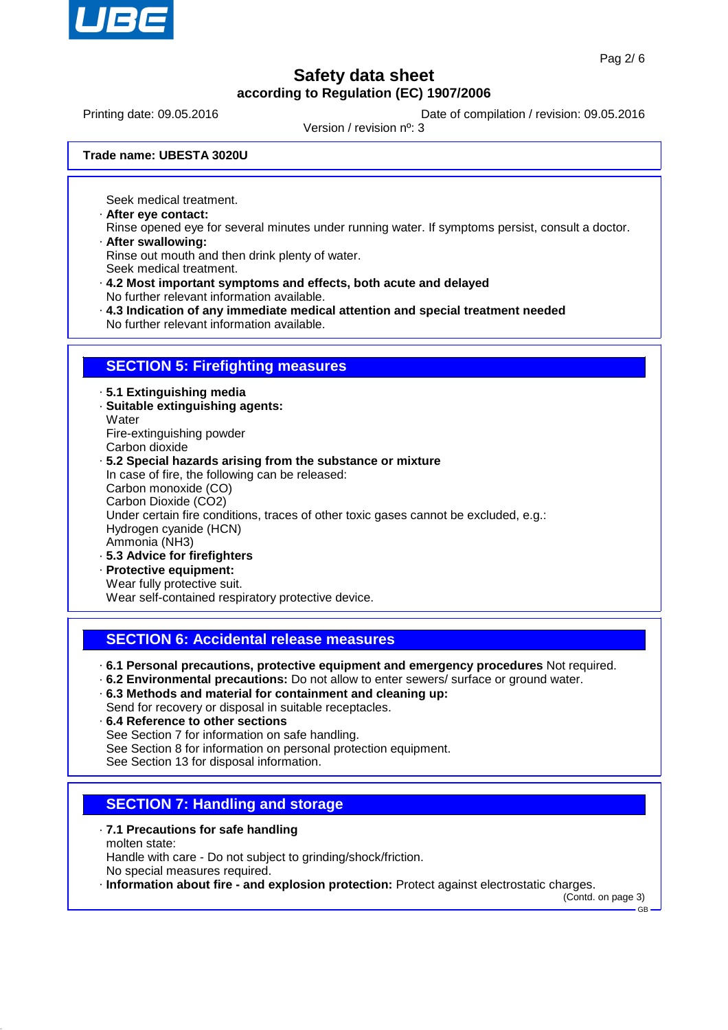

Printing date: 09.05.2016 **Date of compilation / revision: 09.05.2016** 

Version / revision nº: 3

**Trade name: UBESTA 3020U**

Seek medical treatment.

- · **After eye contact:**
- Rinse opened eye for several minutes under running water. If symptoms persist, consult a doctor. · **After swallowing:**

Rinse out mouth and then drink plenty of water.

- Seek medical treatment.
- · **4.2 Most important symptoms and effects, both acute and delayed** No further relevant information available.
- · **4.3 Indication of any immediate medical attention and special treatment needed**
- No further relevant information available.

### **SECTION 5: Firefighting measures**

- · **5.1 Extinguishing media**
- · **Suitable extinguishing agents: Water**
- Fire-extinguishing powder
- Carbon dioxide

#### · **5.2 Special hazards arising from the substance or mixture**

In case of fire, the following can be released: Carbon monoxide (CO) Carbon Dioxide (CO2) Under certain fire conditions, traces of other toxic gases cannot be excluded, e.g.: Hydrogen cyanide (HCN)

- Ammonia (NH3)
- · **5.3 Advice for firefighters**
- · **Protective equipment:** Wear fully protective suit.

Wear self-contained respiratory protective device.

# **SECTION 6: Accidental release measures**

- · **6.1 Personal precautions, protective equipment and emergency procedures** Not required.
- · **6.2 Environmental precautions:** Do not allow to enter sewers/ surface or ground water.
- · **6.3 Methods and material for containment and cleaning up:** Send for recovery or disposal in suitable receptacles.
- · **6.4 Reference to other sections**
	- See Section 7 for information on safe handling.
- See Section 8 for information on personal protection equipment.
- See Section 13 for disposal information.

# **SECTION 7: Handling and storage**

- · **7.1 Precautions for safe handling** molten state: Handle with care - Do not subject to grinding/shock/friction. No special measures required.
- · **Information about fire and explosion protection:** Protect against electrostatic charges.

(Contd. on page 3) GB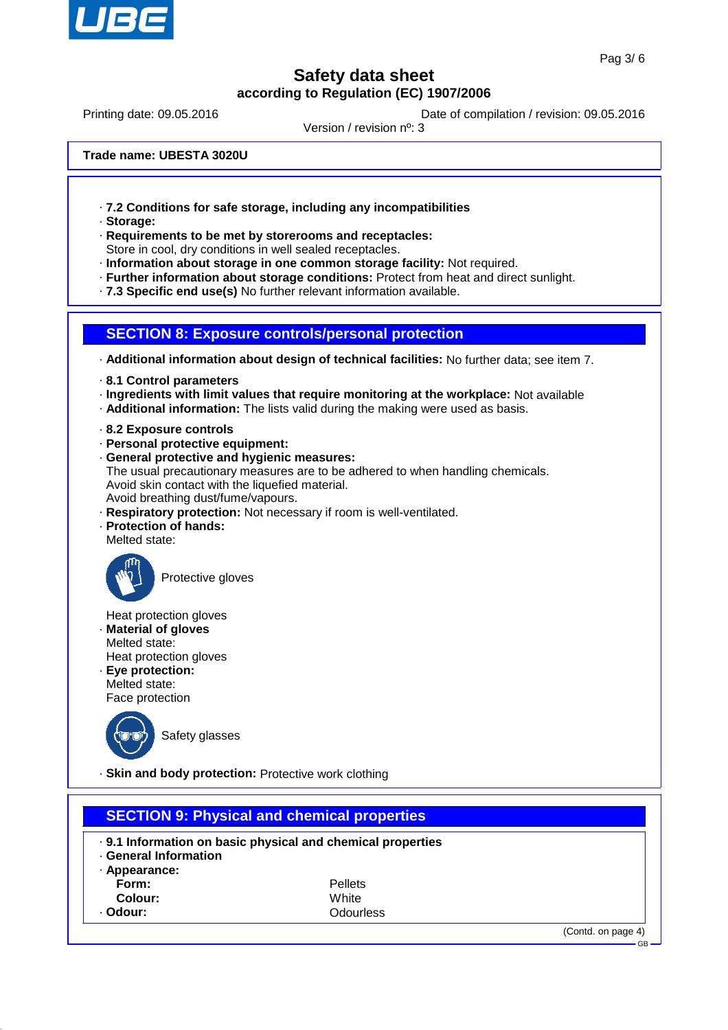

GB

# **Safety data sheet according to Regulation (EC) 1907/2006**

Printing date: 09.05.2016 **Date of compilation / revision: 09.05.2016** 

Version / revision nº: 3

**Trade name: UBESTA 3020U**

- · **7.2 Conditions for safe storage, including any incompatibilities**
- · **Storage:**
- · **Requirements to be met by storerooms and receptacles:** Store in cool, dry conditions in well sealed receptacles.
- · **Information about storage in one common storage facility:** Not required.
- · **Further information about storage conditions:** Protect from heat and direct sunlight.
- · **7.3 Specific end use(s)** No further relevant information available.



· **Additional information about design of technical facilities:** No further data; see item 7.

- · **8.1 Control parameters**
- · **Ingredients with limit values that require monitoring at the workplace:** Not available
- · **Additional information:** The lists valid during the making were used as basis.
- · **8.2 Exposure controls**
- · **Personal protective equipment:**
- · **General protective and hygienic measures:** The usual precautionary measures are to be adhered to when handling chemicals. Avoid skin contact with the liquefied material. Avoid breathing dust/fume/vapours.
- · **Respiratory protection:** Not necessary if room is well-ventilated.
- · **Protection of hands:**
- Melted state:



Protective gloves

Heat protection gloves

- · **Material of gloves**
- Melted state: Heat protection gloves
- · **Eye protection:** Melted state:

Face protection



Safety glasses

· **Skin and body protection:** Protective work clothing

| <b>SECTION 9: Physical and chemical properties</b>              |                                                                                        |  |
|-----------------------------------------------------------------|----------------------------------------------------------------------------------------|--|
| <b>General Information</b><br>· Appearance:<br>Form:<br>Colour: | . 9.1 Information on basic physical and chemical properties<br><b>Pellets</b><br>White |  |
| Odour:                                                          | Odourless                                                                              |  |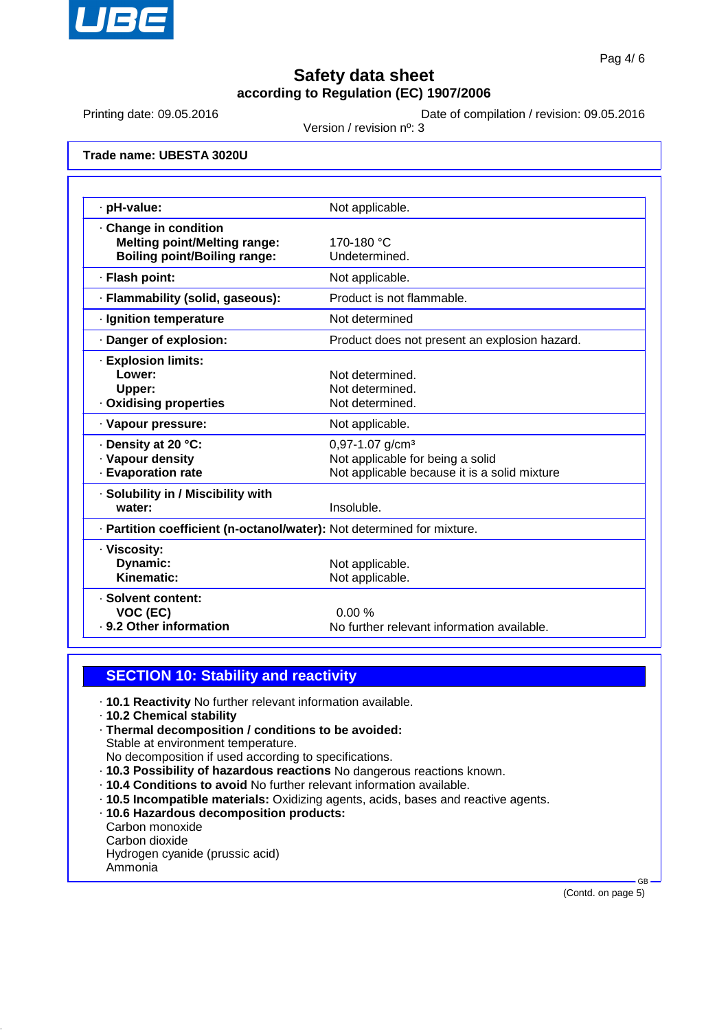

Printing date: 09.05.2016 **Date of compilation / revision: 09.05.2016** 

Version / revision nº: 3

**Trade name: UBESTA 3020U**

| · pH-value:                                                                |                                               |  |  |
|----------------------------------------------------------------------------|-----------------------------------------------|--|--|
|                                                                            | Not applicable.                               |  |  |
| Change in condition                                                        | 170-180 °C                                    |  |  |
| <b>Melting point/Melting range:</b><br><b>Boiling point/Boiling range:</b> | Undetermined.                                 |  |  |
|                                                                            |                                               |  |  |
| · Flash point:                                                             | Not applicable.                               |  |  |
| · Flammability (solid, gaseous):                                           | Product is not flammable.                     |  |  |
| · Ignition temperature                                                     | Not determined                                |  |  |
| Danger of explosion:                                                       | Product does not present an explosion hazard. |  |  |
| · Explosion limits:                                                        |                                               |  |  |
| Lower:                                                                     | Not determined.                               |  |  |
| Upper:                                                                     | Not determined.                               |  |  |
| Oxidising properties                                                       | Not determined.                               |  |  |
| · Vapour pressure:                                                         | Not applicable.                               |  |  |
| ⋅ Density at 20 °C:                                                        | $0,97-1.07$ g/cm <sup>3</sup>                 |  |  |
| · Vapour density                                                           | Not applicable for being a solid              |  |  |
| <b>Evaporation rate</b>                                                    | Not applicable because it is a solid mixture  |  |  |
| · Solubility in / Miscibility with                                         |                                               |  |  |
| water:                                                                     | Insoluble.                                    |  |  |
| · Partition coefficient (n-octanol/water): Not determined for mixture.     |                                               |  |  |
| · Viscosity:                                                               |                                               |  |  |
| Dynamic:                                                                   | Not applicable.                               |  |  |
| Kinematic:                                                                 | Not applicable.                               |  |  |
| · Solvent content:                                                         |                                               |  |  |
| VOC (EC)                                                                   | 0.00%                                         |  |  |
| · 9.2 Other information                                                    | No further relevant information available.    |  |  |

# **SECTION 10: Stability and reactivity**

- · **10.1 Reactivity** No further relevant information available.
- · **10.2 Chemical stability**
- · **Thermal decomposition / conditions to be avoided:** Stable at environment temperature. No decomposition if used according to specifications.
- · **10.3 Possibility of hazardous reactions** No dangerous reactions known.
- · **10.4 Conditions to avoid** No further relevant information available.
- · **10.5 Incompatible materials:** Oxidizing agents, acids, bases and reactive agents.
- · **10.6 Hazardous decomposition products:**
- Carbon monoxide
- Carbon dioxide
- Hydrogen cyanide (prussic acid) Ammonia

(Contd. on page 5)

GB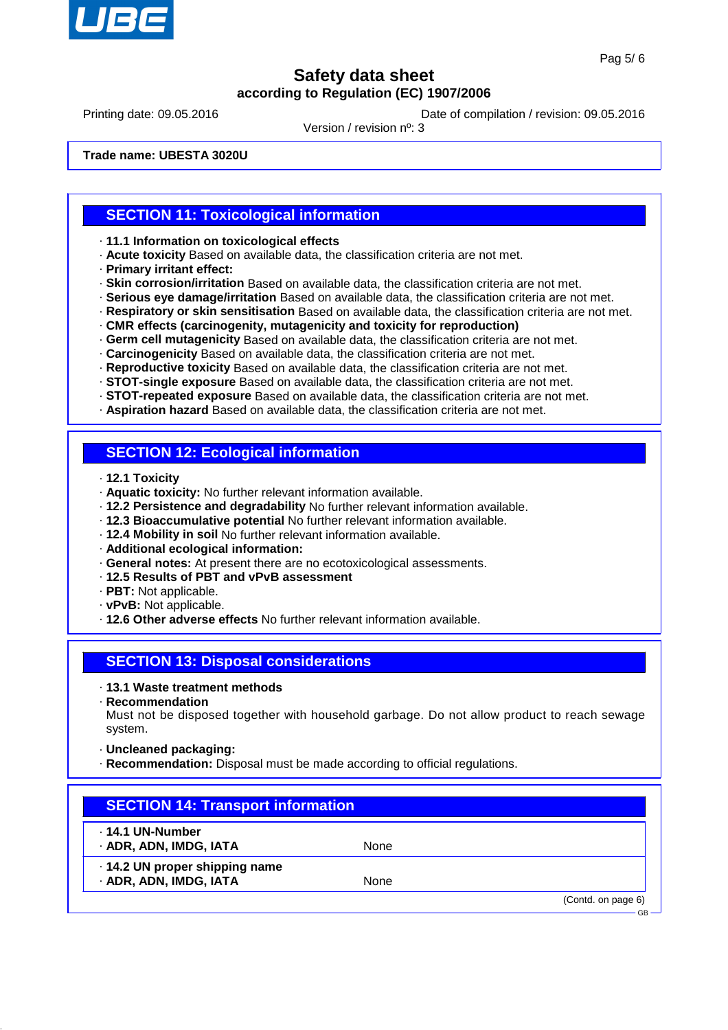

Printing date: 09.05.2016 **Date of compilation / revision: 09.05.2016** 

Version / revision nº: 3

**Trade name: UBESTA 3020U**

### **SECTION 11: Toxicological information**

· **11.1 Information on toxicological effects**

- · **Acute toxicity** Based on available data, the classification criteria are not met.
- · **Primary irritant effect:**
- · **Skin corrosion/irritation** Based on available data, the classification criteria are not met.
- · **Serious eye damage/irritation** Based on available data, the classification criteria are not met.
- · **Respiratory or skin sensitisation** Based on available data, the classification criteria are not met.
- · **CMR effects (carcinogenity, mutagenicity and toxicity for reproduction)**
- · **Germ cell mutagenicity** Based on available data, the classification criteria are not met.
- · **Carcinogenicity** Based on available data, the classification criteria are not met.
- · **Reproductive toxicity** Based on available data, the classification criteria are not met.
- · **STOT-single exposure** Based on available data, the classification criteria are not met.
- · **STOT-repeated exposure** Based on available data, the classification criteria are not met.
- · **Aspiration hazard** Based on available data, the classification criteria are not met.

#### **SECTION 12: Ecological information**

- · **12.1 Toxicity**
- · **Aquatic toxicity:** No further relevant information available.
- · **12.2 Persistence and degradability** No further relevant information available.
- · **12.3 Bioaccumulative potential** No further relevant information available.
- · **12.4 Mobility in soil** No further relevant information available.
- · **Additional ecological information:**
- · **General notes:** At present there are no ecotoxicological assessments.
- · **12.5 Results of PBT and vPvB assessment**
- · **PBT:** Not applicable.
- · **vPvB:** Not applicable.
- · **12.6 Other adverse effects** No further relevant information available.

# **SECTION 13: Disposal considerations**

#### · **13.1 Waste treatment methods**

· **Recommendation**

Must not be disposed together with household garbage. Do not allow product to reach sewage system.

- · **Uncleaned packaging:**
- · **Recommendation:** Disposal must be made according to official regulations.

| <b>SECTION 14: Transport information</b>                 |      |                                 |  |  |
|----------------------------------------------------------|------|---------------------------------|--|--|
| ⋅ 14.1 UN-Number<br>· ADR, ADN, IMDG, IATA               | None |                                 |  |  |
| · 14.2 UN proper shipping name<br>· ADR, ADN, IMDG, IATA | None |                                 |  |  |
|                                                          |      | (Contd. on page 6)<br><b>GB</b> |  |  |